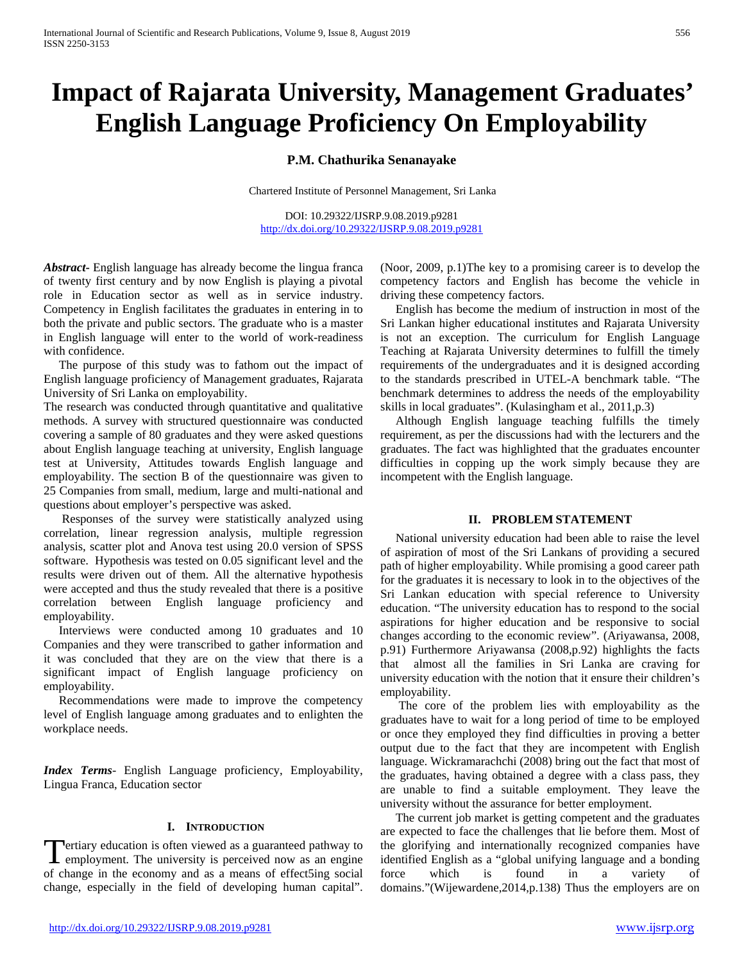# **Impact of Rajarata University, Management Graduates' English Language Proficiency On Employability**

**P.M. Chathurika Senanayake**

Chartered Institute of Personnel Management, Sri Lanka

DOI: 10.29322/IJSRP.9.08.2019.p9281 <http://dx.doi.org/10.29322/IJSRP.9.08.2019.p9281>

*Abstract***-** English language has already become the lingua franca of twenty first century and by now English is playing a pivotal role in Education sector as well as in service industry. Competency in English facilitates the graduates in entering in to both the private and public sectors. The graduate who is a master in English language will enter to the world of work-readiness with confidence.

 The purpose of this study was to fathom out the impact of English language proficiency of Management graduates, Rajarata University of Sri Lanka on employability.

The research was conducted through quantitative and qualitative methods. A survey with structured questionnaire was conducted covering a sample of 80 graduates and they were asked questions about English language teaching at university, English language test at University, Attitudes towards English language and employability. The section B of the questionnaire was given to 25 Companies from small, medium, large and multi-national and questions about employer's perspective was asked.

 Responses of the survey were statistically analyzed using correlation, linear regression analysis, multiple regression analysis, scatter plot and Anova test using 20.0 version of SPSS software. Hypothesis was tested on 0.05 significant level and the results were driven out of them. All the alternative hypothesis were accepted and thus the study revealed that there is a positive correlation between English language proficiency and employability.

 Interviews were conducted among 10 graduates and 10 Companies and they were transcribed to gather information and it was concluded that they are on the view that there is a significant impact of English language proficiency on employability.

 Recommendations were made to improve the competency level of English language among graduates and to enlighten the workplace needs.

*Index Terms*- English Language proficiency, Employability, Lingua Franca, Education sector

#### **I. INTRODUCTION**

ertiary education is often viewed as a guaranteed pathway to **T**ertiary education is often viewed as a guaranteed pathway to employment. The university is perceived now as an engine of change in the economy and as a means of effect5ing social change, especially in the field of developing human capital".

(Noor, 2009, p.1)The key to a promising career is to develop the competency factors and English has become the vehicle in driving these competency factors.

 English has become the medium of instruction in most of the Sri Lankan higher educational institutes and Rajarata University is not an exception. The curriculum for English Language Teaching at Rajarata University determines to fulfill the timely requirements of the undergraduates and it is designed according to the standards prescribed in UTEL-A benchmark table. "The benchmark determines to address the needs of the employability skills in local graduates". (Kulasingham et al., 2011,p.3)

 Although English language teaching fulfills the timely requirement, as per the discussions had with the lecturers and the graduates. The fact was highlighted that the graduates encounter difficulties in copping up the work simply because they are incompetent with the English language.

#### **II. PROBLEM STATEMENT**

 National university education had been able to raise the level of aspiration of most of the Sri Lankans of providing a secured path of higher employability. While promising a good career path for the graduates it is necessary to look in to the objectives of the Sri Lankan education with special reference to University education. "The university education has to respond to the social aspirations for higher education and be responsive to social changes according to the economic review". (Ariyawansa, 2008, p.91) Furthermore Ariyawansa (2008,p.92) highlights the facts that almost all the families in Sri Lanka are craving for university education with the notion that it ensure their children's employability.

 The core of the problem lies with employability as the graduates have to wait for a long period of time to be employed or once they employed they find difficulties in proving a better output due to the fact that they are incompetent with English language. Wickramarachchi (2008) bring out the fact that most of the graduates, having obtained a degree with a class pass, they are unable to find a suitable employment. They leave the university without the assurance for better employment.

 The current job market is getting competent and the graduates are expected to face the challenges that lie before them. Most of the glorifying and internationally recognized companies have identified English as a "global unifying language and a bonding force which is found in a variety of domains."(Wijewardene,2014,p.138) Thus the employers are on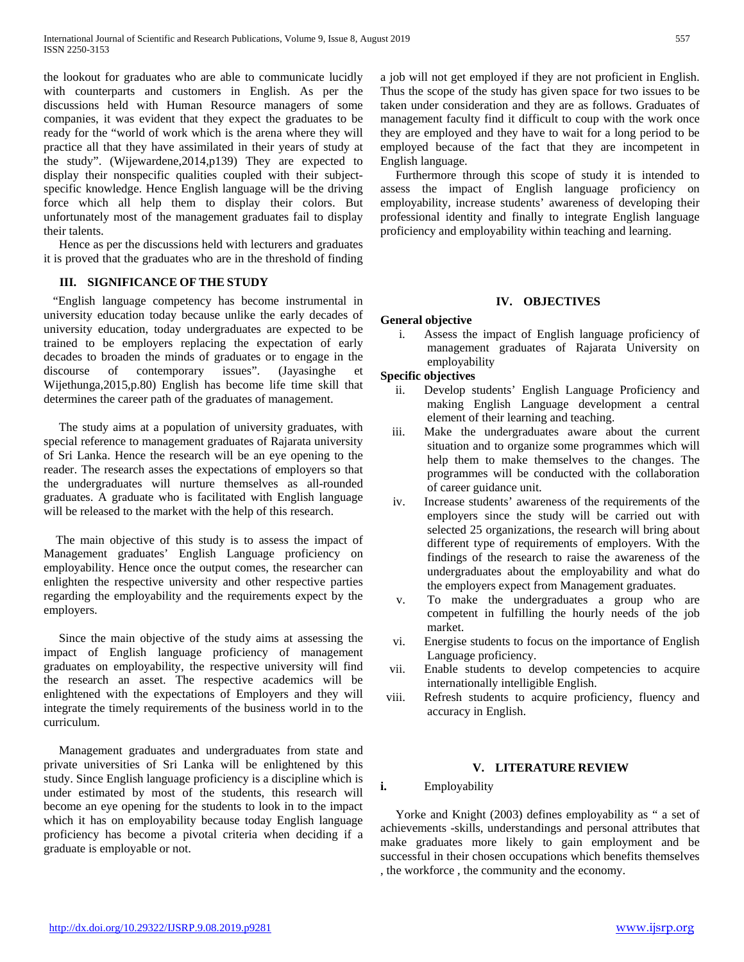the lookout for graduates who are able to communicate lucidly with counterparts and customers in English. As per the discussions held with Human Resource managers of some companies, it was evident that they expect the graduates to be ready for the "world of work which is the arena where they will practice all that they have assimilated in their years of study at the study". (Wijewardene,2014,p139) They are expected to display their nonspecific qualities coupled with their subjectspecific knowledge. Hence English language will be the driving force which all help them to display their colors. But unfortunately most of the management graduates fail to display their talents.

 Hence as per the discussions held with lecturers and graduates it is proved that the graduates who are in the threshold of finding

# **III. SIGNIFICANCE OF THE STUDY**

 "English language competency has become instrumental in university education today because unlike the early decades of university education, today undergraduates are expected to be trained to be employers replacing the expectation of early decades to broaden the minds of graduates or to engage in the discourse of contemporary issues". (Jayasinghe et Wijethunga,2015,p.80) English has become life time skill that determines the career path of the graduates of management.

 The study aims at a population of university graduates, with special reference to management graduates of Rajarata university of Sri Lanka. Hence the research will be an eye opening to the reader. The research asses the expectations of employers so that the undergraduates will nurture themselves as all-rounded graduates. A graduate who is facilitated with English language will be released to the market with the help of this research.

 The main objective of this study is to assess the impact of Management graduates' English Language proficiency on employability. Hence once the output comes, the researcher can enlighten the respective university and other respective parties regarding the employability and the requirements expect by the employers.

 Since the main objective of the study aims at assessing the impact of English language proficiency of management graduates on employability, the respective university will find the research an asset. The respective academics will be enlightened with the expectations of Employers and they will integrate the timely requirements of the business world in to the curriculum.

 Management graduates and undergraduates from state and private universities of Sri Lanka will be enlightened by this study. Since English language proficiency is a discipline which is under estimated by most of the students, this research will become an eye opening for the students to look in to the impact which it has on employability because today English language proficiency has become a pivotal criteria when deciding if a graduate is employable or not.

a job will not get employed if they are not proficient in English. Thus the scope of the study has given space for two issues to be taken under consideration and they are as follows. Graduates of management faculty find it difficult to coup with the work once they are employed and they have to wait for a long period to be employed because of the fact that they are incompetent in English language.

 Furthermore through this scope of study it is intended to assess the impact of English language proficiency on employability, increase students' awareness of developing their professional identity and finally to integrate English language proficiency and employability within teaching and learning.

#### **IV. OBJECTIVES**

#### **General objective**

i. Assess the impact of English language proficiency of management graduates of Rajarata University on employability

# **Specific objectives**

- ii. Develop students' English Language Proficiency and making English Language development a central element of their learning and teaching.
- iii. Make the undergraduates aware about the current situation and to organize some programmes which will help them to make themselves to the changes. The programmes will be conducted with the collaboration of career guidance unit.
- iv. Increase students' awareness of the requirements of the employers since the study will be carried out with selected 25 organizations, the research will bring about different type of requirements of employers. With the findings of the research to raise the awareness of the undergraduates about the employability and what do the employers expect from Management graduates.
- v. To make the undergraduates a group who are competent in fulfilling the hourly needs of the job market.
- vi. Energise students to focus on the importance of English Language proficiency.
- vii. Enable students to develop competencies to acquire internationally intelligible English.
- viii. Refresh students to acquire proficiency, fluency and accuracy in English.

#### **V. LITERATURE REVIEW**

#### **i.** Employability

 Yorke and Knight (2003) defines employability as " a set of achievements -skills, understandings and personal attributes that make graduates more likely to gain employment and be successful in their chosen occupations which benefits themselves , the workforce , the community and the economy.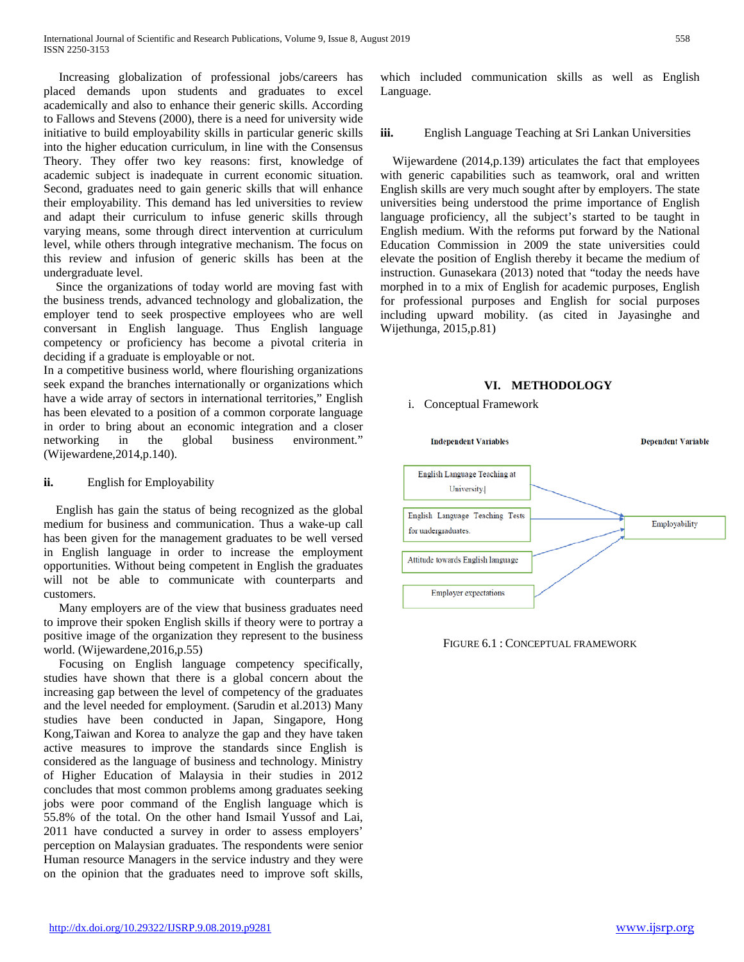Increasing globalization of professional jobs/careers has placed demands upon students and graduates to excel academically and also to enhance their generic skills. According to Fallows and Stevens (2000), there is a need for university wide initiative to build employability skills in particular generic skills into the higher education curriculum, in line with the Consensus Theory. They offer two key reasons: first, knowledge of academic subject is inadequate in current economic situation. Second, graduates need to gain generic skills that will enhance their employability. This demand has led universities to review and adapt their curriculum to infuse generic skills through varying means, some through direct intervention at curriculum level, while others through integrative mechanism. The focus on this review and infusion of generic skills has been at the undergraduate level.

 Since the organizations of today world are moving fast with the business trends, advanced technology and globalization, the employer tend to seek prospective employees who are well conversant in English language. Thus English language competency or proficiency has become a pivotal criteria in deciding if a graduate is employable or not.

In a competitive business world, where flourishing organizations seek expand the branches internationally or organizations which have a wide array of sectors in international territories," English has been elevated to a position of a common corporate language in order to bring about an economic integration and a closer networking in the global business environment." (Wijewardene,2014,p.140).

## **ii.** English for Employability

 English has gain the status of being recognized as the global medium for business and communication. Thus a wake-up call has been given for the management graduates to be well versed in English language in order to increase the employment opportunities. Without being competent in English the graduates will not be able to communicate with counterparts and customers.

 Many employers are of the view that business graduates need to improve their spoken English skills if theory were to portray a positive image of the organization they represent to the business world. (Wijewardene,2016,p.55)

 Focusing on English language competency specifically, studies have shown that there is a global concern about the increasing gap between the level of competency of the graduates and the level needed for employment. (Sarudin et al.2013) Many studies have been conducted in Japan, Singapore, Hong Kong,Taiwan and Korea to analyze the gap and they have taken active measures to improve the standards since English is considered as the language of business and technology. Ministry of Higher Education of Malaysia in their studies in 2012 concludes that most common problems among graduates seeking jobs were poor command of the English language which is 55.8% of the total. On the other hand Ismail Yussof and Lai, 2011 have conducted a survey in order to assess employers' perception on Malaysian graduates. The respondents were senior Human resource Managers in the service industry and they were on the opinion that the graduates need to improve soft skills, which included communication skills as well as English Language.

# **iii.** English Language Teaching at Sri Lankan Universities

 Wijewardene (2014,p.139) articulates the fact that employees with generic capabilities such as teamwork, oral and written English skills are very much sought after by employers. The state universities being understood the prime importance of English language proficiency, all the subject's started to be taught in English medium. With the reforms put forward by the National Education Commission in 2009 the state universities could elevate the position of English thereby it became the medium of instruction. Gunasekara (2013) noted that "today the needs have morphed in to a mix of English for academic purposes, English for professional purposes and English for social purposes including upward mobility. (as cited in Jayasinghe and Wijethunga, 2015,p.81)

# **VI. METHODOLOGY**

i. Conceptual Framework



FIGURE 6.1 : CONCEPTUAL FRAMEWORK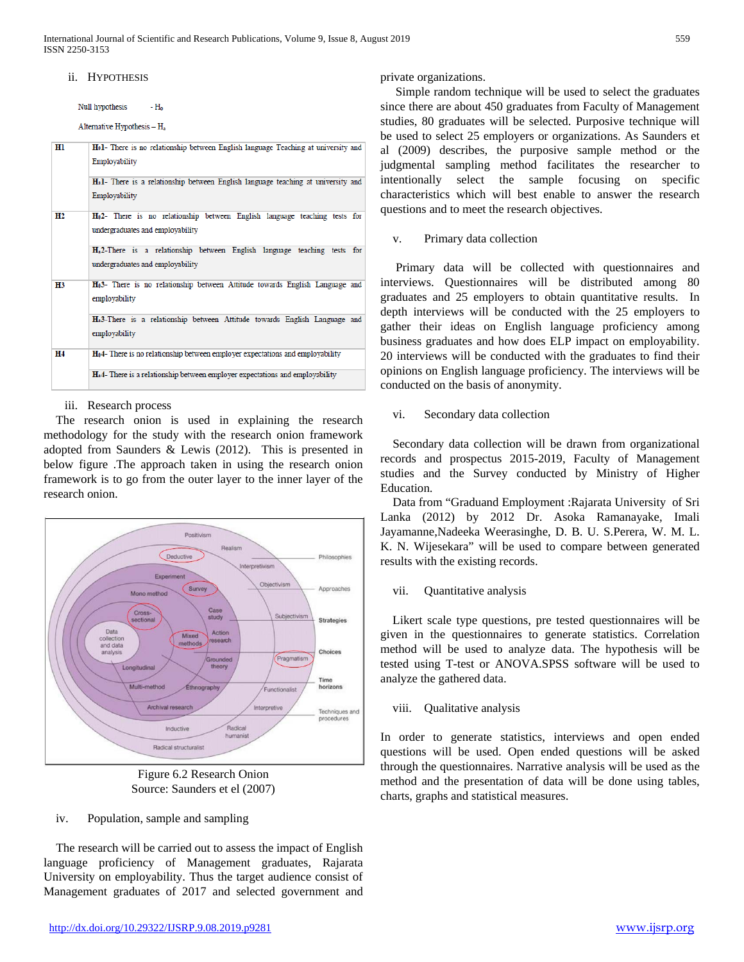International Journal of Scientific and Research Publications, Volume 9, Issue 8, August 2019 559 ISSN 2250-3153

#### ii. HYPOTHESIS

Null hypothesis  $-H<sub>a</sub>$ 

Alternative Hypothesis - H,

| Hl        | Hol- There is no relationship between English language Teaching at university and<br>Employability<br>H <sub>a</sub> 1- There is a relationship between English language teaching at university and |
|-----------|-----------------------------------------------------------------------------------------------------------------------------------------------------------------------------------------------------|
|           | Employability                                                                                                                                                                                       |
| Н2        | H <sub>0</sub> 2- There is no relationship between English language teaching tests for<br>undergraduates and employability                                                                          |
|           | H <sub>a</sub> 2-There is a relationship between English language teaching tests for<br>undergraduates and employability                                                                            |
| <b>H3</b> | H <sub>0</sub> 3- There is no relationship between Attitude towards English Language and<br>employability                                                                                           |
|           | Ha3-There is a relationship between Attitude towards English Language and<br>employability                                                                                                          |
| Η4        | H <sub>0</sub> 4- There is no relationship between employer expectations and employability                                                                                                          |
|           | H <sub>a</sub> 4- There is a relationship between employer expectations and employability                                                                                                           |

#### iii. Research process

 The research onion is used in explaining the research methodology for the study with the research onion framework adopted from Saunders & Lewis (2012). This is presented in below figure .The approach taken in using the research onion framework is to go from the outer layer to the inner layer of the research onion.



Figure 6.2 Research Onion Source: Saunders et el (2007)

iv. Population, sample and sampling

The research will be carried out to assess the impact of English language proficiency of Management graduates, Rajarata University on employability. Thus the target audience consist of Management graduates of 2017 and selected government and private organizations.

 Simple random technique will be used to select the graduates since there are about 450 graduates from Faculty of Management studies, 80 graduates will be selected. Purposive technique will be used to select 25 employers or organizations. As Saunders et al (2009) describes, the purposive sample method or the judgmental sampling method facilitates the researcher to intentionally select the sample focusing on specific characteristics which will best enable to answer the research questions and to meet the research objectives.

## v. Primary data collection

Primary data will be collected with questionnaires and interviews. Questionnaires will be distributed among 80 graduates and 25 employers to obtain quantitative results. In depth interviews will be conducted with the 25 employers to gather their ideas on English language proficiency among business graduates and how does ELP impact on employability. 20 interviews will be conducted with the graduates to find their opinions on English language proficiency. The interviews will be conducted on the basis of anonymity.

#### vi. Secondary data collection

Secondary data collection will be drawn from organizational records and prospectus 2015-2019, Faculty of Management studies and the Survey conducted by Ministry of Higher Education.

Data from "Graduand Employment :Rajarata University of Sri Lanka (2012) by 2012 Dr. Asoka Ramanayake, Imali Jayamanne,Nadeeka Weerasinghe, D. B. U. S.Perera, W. M. L. K. N. Wijesekara" will be used to compare between generated results with the existing records.

#### vii. Quantitative analysis

Likert scale type questions, pre tested questionnaires will be given in the questionnaires to generate statistics. Correlation method will be used to analyze data. The hypothesis will be tested using T-test or ANOVA.SPSS software will be used to analyze the gathered data.

#### viii. Qualitative analysis

In order to generate statistics, interviews and open ended questions will be used. Open ended questions will be asked through the questionnaires. Narrative analysis will be used as the method and the presentation of data will be done using tables, charts, graphs and statistical measures.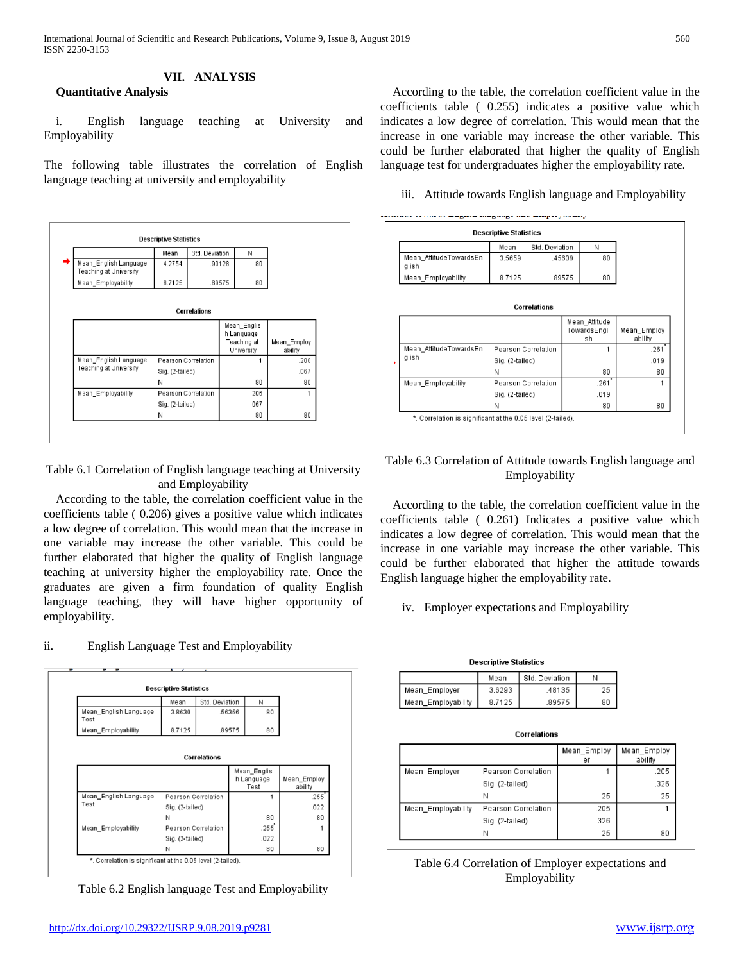# **VII. ANALYSIS**

**Quantitative Analysis**

i. English language teaching at University and Employability

The following table illustrates the correlation of English language teaching at university and employability



#### Table 6.1 Correlation of English language teaching at University and Employability

 According to the table, the correlation coefficient value in the coefficients table ( 0.206) gives a positive value which indicates a low degree of correlation. This would mean that the increase in one variable may increase the other variable. This could be further elaborated that higher the quality of English language teaching at university higher the employability rate. Once the graduates are given a firm foundation of quality English language teaching, they will have higher opportunity of employability.

# ii. English Language Test and Employability



Table 6.2 English language Test and Employability

 According to the table, the correlation coefficient value in the coefficients table ( 0.255) indicates a positive value which indicates a low degree of correlation. This would mean that the increase in one variable may increase the other variable. This could be further elaborated that higher the quality of English language test for undergraduates higher the employability rate.

iii. Attitude towards English language and Employability



# Table 6.3 Correlation of Attitude towards English language and Employability

 According to the table, the correlation coefficient value in the coefficients table ( 0.261) Indicates a positive value which indicates a low degree of correlation. This would mean that the increase in one variable may increase the other variable. This could be further elaborated that higher the attitude towards English language higher the employability rate.

iv. Employer expectations and Employability

| <b>Descriptive Statistics</b> |                                        |  |        |             |              |  |  |  |
|-------------------------------|----------------------------------------|--|--------|-------------|--------------|--|--|--|
|                               | Std. Deviation<br>Mean<br>Ν            |  |        |             |              |  |  |  |
| Mean_Employer                 | 3.6293                                 |  | 48135  | 25          |              |  |  |  |
| Mean_Employability            | 8.7125                                 |  | .89575 | 80          |              |  |  |  |
|                               |                                        |  |        |             |              |  |  |  |
|                               |                                        |  |        | Mean_Employ | Mean_Employ  |  |  |  |
|                               |                                        |  |        | er<br>1     | ability      |  |  |  |
| Mean_Employer                 | Pearson Correlation<br>Sig. (2-tailed) |  |        |             | .205<br>.326 |  |  |  |
|                               | Ν                                      |  |        | 25          | 25           |  |  |  |
| Mean_Employability            | Pearson Correlation                    |  |        | .205        |              |  |  |  |
|                               | Sig. (2-tailed)                        |  |        | .326        |              |  |  |  |

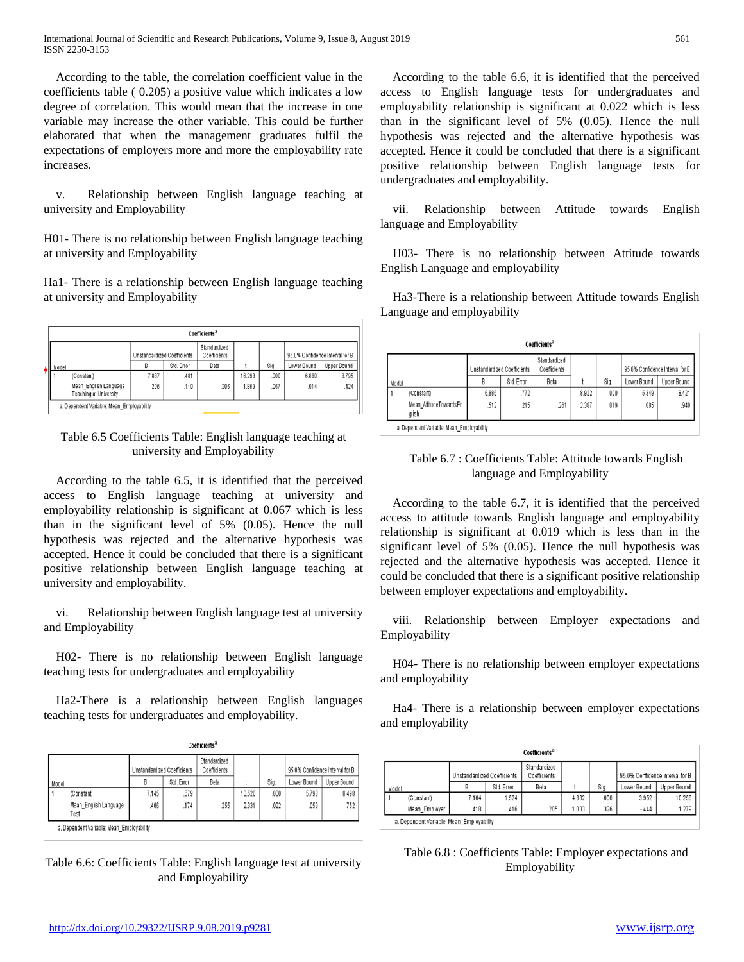According to the table, the correlation coefficient value in the coefficients table ( 0.205) a positive value which indicates a low degree of correlation. This would mean that the increase in one variable may increase the other variable. This could be further elaborated that when the management graduates fulfil the expectations of employers more and more the employability rate increases.

v. Relationship between English language teaching at university and Employability

H01- There is no relationship between English language teaching at university and Employability

Ha1- There is a relationship between English language teaching at university and Employability

| Coefficients <sup>a</sup>                 |                                                 |                             |            |                              |        |      |                                 |             |  |
|-------------------------------------------|-------------------------------------------------|-----------------------------|------------|------------------------------|--------|------|---------------------------------|-------------|--|
|                                           |                                                 | Unstandardized Coefficients |            | Standardized<br>Coefficients |        |      | 95.0% Confidence Interval for B |             |  |
| Model                                     |                                                 | B                           | Std. Error | Beta                         |        | Sig. | Lower Bound                     | Upper Bound |  |
|                                           | (Constant)                                      | 7.837                       | .481       |                              | 16.293 | .000 | 6.880                           | 8.795       |  |
|                                           | Mean English Language<br>Teaching at University | 205                         | .110       | 206                          | 1.859  | .067 | $-014$                          | .424        |  |
| a. Dependent Variable: Mean Employability |                                                 |                             |            |                              |        |      |                                 |             |  |

# Table 6.5 Coefficients Table: English language teaching at university and Employability

According to the table 6.5, it is identified that the perceived access to English language teaching at university and employability relationship is significant at 0.067 which is less than in the significant level of 5% (0.05). Hence the null hypothesis was rejected and the alternative hypothesis was accepted. Hence it could be concluded that there is a significant positive relationship between English language teaching at university and employability.

vi. Relationship between English language test at university and Employability

H02- There is no relationship between English language teaching tests for undergraduates and employability

Ha2-There is a relationship between English languages teaching tests for undergraduates and employability.

|       | Coefficients <sup>a</sup>                 |                             |            |                              |        |      |                                 |             |  |
|-------|-------------------------------------------|-----------------------------|------------|------------------------------|--------|------|---------------------------------|-------------|--|
|       |                                           | Unstandardized Coefficients |            | Standardized<br>Coefficients |        |      | 95.0% Confidence Interval for B |             |  |
| Model |                                           | B                           | Std. Error | Beta                         |        | Sig. | Lower Bound                     | Upper Bound |  |
|       | (Constant)                                | 7.145                       | .679       |                              | 10.520 | .000 | 5.793                           | 8.498       |  |
|       | Mean_English Language<br>Test             | .406                        | .174       | .255                         | 2.331  | .022 | .059                            | .752        |  |
|       | a. Dependent Variable: Mean Employability |                             |            |                              |        |      |                                 |             |  |

Table 6.6: Coefficients Table: English language test at university and Employability

 According to the table 6.6, it is identified that the perceived access to English language tests for undergraduates and employability relationship is significant at 0.022 which is less than in the significant level of 5% (0.05). Hence the null hypothesis was rejected and the alternative hypothesis was accepted. Hence it could be concluded that there is a significant positive relationship between English language tests for undergraduates and employability.

vii. Relationship between Attitude towards English language and Employability

H03- There is no relationship between Attitude towards English Language and employability

Ha3-There is a relationship between Attitude towards English Language and employability

|       | Coefficients <sup>a</sup>                |                             |            |                              |       |      |                                 |             |  |
|-------|------------------------------------------|-----------------------------|------------|------------------------------|-------|------|---------------------------------|-------------|--|
|       |                                          | Unstandardized Coefficients |            | Standardized<br>Coefficients |       |      | 95.0% Confidence Interval for B |             |  |
| Model |                                          | B                           | Std. Error | Beta                         |       | Sig. | Lower Bound                     | Upper Bound |  |
|       | (Constant)                               | 6.885                       | .772       |                              | 8.922 | ,000 | 5.349                           | 8.421       |  |
|       | Mean AttitudeTowardsEn<br>glish          | .512                        | .215       | .261                         | 2.387 | .019 | .085                            | .940        |  |
|       | a Dependent Variable: Mean Employability |                             |            |                              |       |      |                                 |             |  |

# Table 6.7 : Coefficients Table: Attitude towards English language and Employability

 According to the table 6.7, it is identified that the perceived access to attitude towards English language and employability relationship is significant at 0.019 which is less than in the significant level of 5% (0.05). Hence the null hypothesis was rejected and the alternative hypothesis was accepted. Hence it could be concluded that there is a significant positive relationship between employer expectations and employability.

viii. Relationship between Employer expectations and Employability

H04- There is no relationship between employer expectations and employability

 Ha4- There is a relationship between employer expectations and employability

|                             | Coefficients <sup>a</sup>                 |       |                              |      |       |                                 |             |             |  |  |
|-----------------------------|-------------------------------------------|-------|------------------------------|------|-------|---------------------------------|-------------|-------------|--|--|
| Unstandardized Coefficients |                                           |       | Standardized<br>Coefficients |      |       | 95.0% Confidence Interval for B |             |             |  |  |
| Model                       |                                           | В     | Std. Error                   | Beta |       | Sig.                            | Lower Bound | Upper Bound |  |  |
|                             | (Constant)                                | 7.104 | 1.524                        |      | 4.662 | .000.                           | 3.952       | 10.256      |  |  |
|                             | Mean Employer                             | .418  | .416                         | 205  | 1.003 | .326                            | $-444$      | 1.279       |  |  |
|                             | a. Dependent Variable: Mean Employability |       |                              |      |       |                                 |             |             |  |  |

Table 6.8 : Coefficients Table: Employer expectations and Employability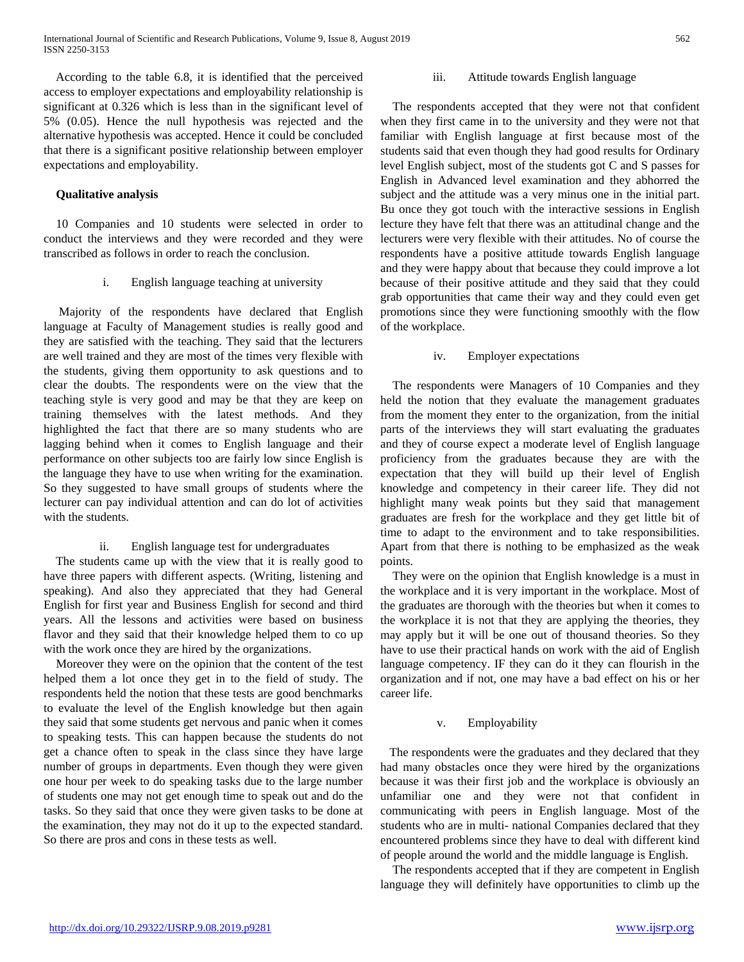According to the table 6.8, it is identified that the perceived access to employer expectations and employability relationship is significant at 0.326 which is less than in the significant level of 5% (0.05). Hence the null hypothesis was rejected and the alternative hypothesis was accepted. Hence it could be concluded that there is a significant positive relationship between employer expectations and employability.

## **Qualitative analysis**

10 Companies and 10 students were selected in order to conduct the interviews and they were recorded and they were transcribed as follows in order to reach the conclusion.

i. English language teaching at university

 Majority of the respondents have declared that English language at Faculty of Management studies is really good and they are satisfied with the teaching. They said that the lecturers are well trained and they are most of the times very flexible with the students, giving them opportunity to ask questions and to clear the doubts. The respondents were on the view that the teaching style is very good and may be that they are keep on training themselves with the latest methods. And they highlighted the fact that there are so many students who are lagging behind when it comes to English language and their performance on other subjects too are fairly low since English is the language they have to use when writing for the examination. So they suggested to have small groups of students where the lecturer can pay individual attention and can do lot of activities with the students.

# ii. English language test for undergraduates

 The students came up with the view that it is really good to have three papers with different aspects. (Writing, listening and speaking). And also they appreciated that they had General English for first year and Business English for second and third years. All the lessons and activities were based on business flavor and they said that their knowledge helped them to co up with the work once they are hired by the organizations.

Moreover they were on the opinion that the content of the test helped them a lot once they get in to the field of study. The respondents held the notion that these tests are good benchmarks to evaluate the level of the English knowledge but then again they said that some students get nervous and panic when it comes to speaking tests. This can happen because the students do not get a chance often to speak in the class since they have large number of groups in departments. Even though they were given one hour per week to do speaking tasks due to the large number of students one may not get enough time to speak out and do the tasks. So they said that once they were given tasks to be done at the examination, they may not do it up to the expected standard. So there are pros and cons in these tests as well.

## iii. Attitude towards English language

 The respondents accepted that they were not that confident when they first came in to the university and they were not that familiar with English language at first because most of the students said that even though they had good results for Ordinary level English subject, most of the students got C and S passes for English in Advanced level examination and they abhorred the subject and the attitude was a very minus one in the initial part. Bu once they got touch with the interactive sessions in English lecture they have felt that there was an attitudinal change and the lecturers were very flexible with their attitudes. No of course the respondents have a positive attitude towards English language and they were happy about that because they could improve a lot because of their positive attitude and they said that they could grab opportunities that came their way and they could even get promotions since they were functioning smoothly with the flow of the workplace.

#### iv. Employer expectations

 The respondents were Managers of 10 Companies and they held the notion that they evaluate the management graduates from the moment they enter to the organization, from the initial parts of the interviews they will start evaluating the graduates and they of course expect a moderate level of English language proficiency from the graduates because they are with the expectation that they will build up their level of English knowledge and competency in their career life. They did not highlight many weak points but they said that management graduates are fresh for the workplace and they get little bit of time to adapt to the environment and to take responsibilities. Apart from that there is nothing to be emphasized as the weak points.

They were on the opinion that English knowledge is a must in the workplace and it is very important in the workplace. Most of the graduates are thorough with the theories but when it comes to the workplace it is not that they are applying the theories, they may apply but it will be one out of thousand theories. So they have to use their practical hands on work with the aid of English language competency. IF they can do it they can flourish in the organization and if not, one may have a bad effect on his or her career life.

#### v. Employability

 The respondents were the graduates and they declared that they had many obstacles once they were hired by the organizations because it was their first job and the workplace is obviously an unfamiliar one and they were not that confident in communicating with peers in English language. Most of the students who are in multi- national Companies declared that they encountered problems since they have to deal with different kind of people around the world and the middle language is English.

The respondents accepted that if they are competent in English language they will definitely have opportunities to climb up the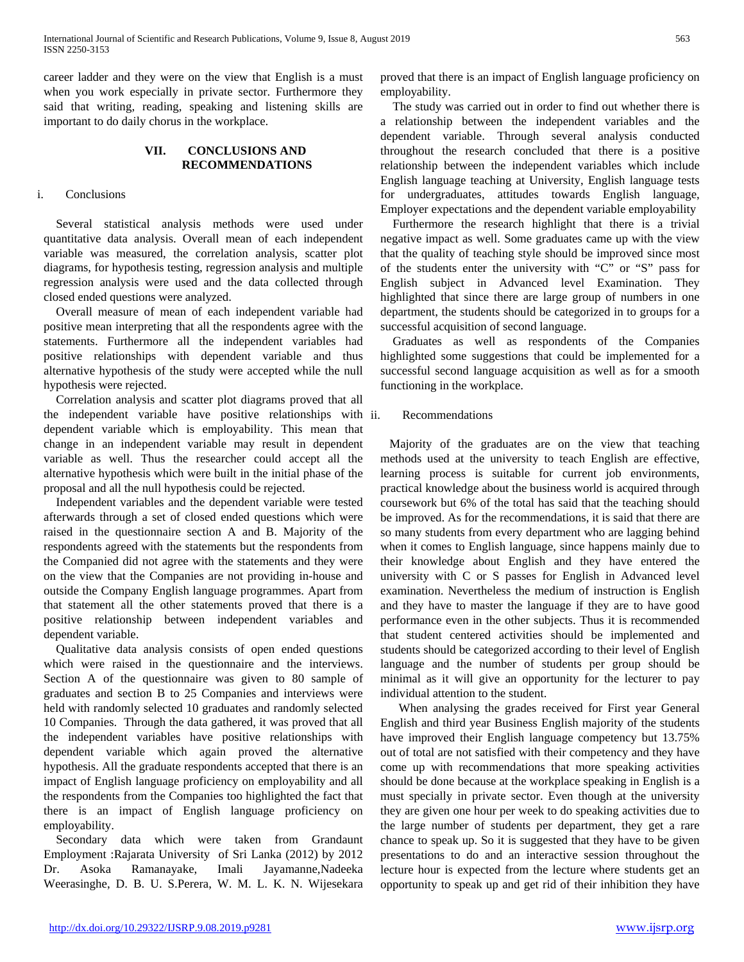career ladder and they were on the view that English is a must when you work especially in private sector. Furthermore they said that writing, reading, speaking and listening skills are important to do daily chorus in the workplace.

# **VII. CONCLUSIONS AND RECOMMENDATIONS**

## i. Conclusions

Several statistical analysis methods were used under quantitative data analysis. Overall mean of each independent variable was measured, the correlation analysis, scatter plot diagrams, for hypothesis testing, regression analysis and multiple regression analysis were used and the data collected through closed ended questions were analyzed.

Overall measure of mean of each independent variable had positive mean interpreting that all the respondents agree with the statements. Furthermore all the independent variables had positive relationships with dependent variable and thus alternative hypothesis of the study were accepted while the null hypothesis were rejected.

Correlation analysis and scatter plot diagrams proved that all the independent variable have positive relationships with dependent variable which is employability. This mean that change in an independent variable may result in dependent variable as well. Thus the researcher could accept all the alternative hypothesis which were built in the initial phase of the proposal and all the null hypothesis could be rejected.

Independent variables and the dependent variable were tested afterwards through a set of closed ended questions which were raised in the questionnaire section A and B. Majority of the respondents agreed with the statements but the respondents from the Companied did not agree with the statements and they were on the view that the Companies are not providing in-house and outside the Company English language programmes. Apart from that statement all the other statements proved that there is a positive relationship between independent variables and dependent variable.

Qualitative data analysis consists of open ended questions which were raised in the questionnaire and the interviews. Section A of the questionnaire was given to 80 sample of graduates and section B to 25 Companies and interviews were held with randomly selected 10 graduates and randomly selected 10 Companies. Through the data gathered, it was proved that all the independent variables have positive relationships with dependent variable which again proved the alternative hypothesis. All the graduate respondents accepted that there is an impact of English language proficiency on employability and all the respondents from the Companies too highlighted the fact that there is an impact of English language proficiency on employability.

Secondary data which were taken from Grandaunt Employment :Rajarata University of Sri Lanka (2012) by 2012 Dr. Asoka Ramanayake, Imali Jayamanne,Nadeeka Weerasinghe, D. B. U. S.Perera, W. M. L. K. N. Wijesekara proved that there is an impact of English language proficiency on employability.

The study was carried out in order to find out whether there is a relationship between the independent variables and the dependent variable. Through several analysis conducted throughout the research concluded that there is a positive relationship between the independent variables which include English language teaching at University, English language tests for undergraduates, attitudes towards English language, Employer expectations and the dependent variable employability

Furthermore the research highlight that there is a trivial negative impact as well. Some graduates came up with the view that the quality of teaching style should be improved since most of the students enter the university with "C" or "S" pass for English subject in Advanced level Examination. They highlighted that since there are large group of numbers in one department, the students should be categorized in to groups for a successful acquisition of second language.

Graduates as well as respondents of the Companies highlighted some suggestions that could be implemented for a successful second language acquisition as well as for a smooth functioning in the workplace.

## Recommendations

 Majority of the graduates are on the view that teaching methods used at the university to teach English are effective, learning process is suitable for current job environments, practical knowledge about the business world is acquired through coursework but 6% of the total has said that the teaching should be improved. As for the recommendations, it is said that there are so many students from every department who are lagging behind when it comes to English language, since happens mainly due to their knowledge about English and they have entered the university with C or S passes for English in Advanced level examination. Nevertheless the medium of instruction is English and they have to master the language if they are to have good performance even in the other subjects. Thus it is recommended that student centered activities should be implemented and students should be categorized according to their level of English language and the number of students per group should be minimal as it will give an opportunity for the lecturer to pay individual attention to the student.

 When analysing the grades received for First year General English and third year Business English majority of the students have improved their English language competency but 13.75% out of total are not satisfied with their competency and they have come up with recommendations that more speaking activities should be done because at the workplace speaking in English is a must specially in private sector. Even though at the university they are given one hour per week to do speaking activities due to the large number of students per department, they get a rare chance to speak up. So it is suggested that they have to be given presentations to do and an interactive session throughout the lecture hour is expected from the lecture where students get an opportunity to speak up and get rid of their inhibition they have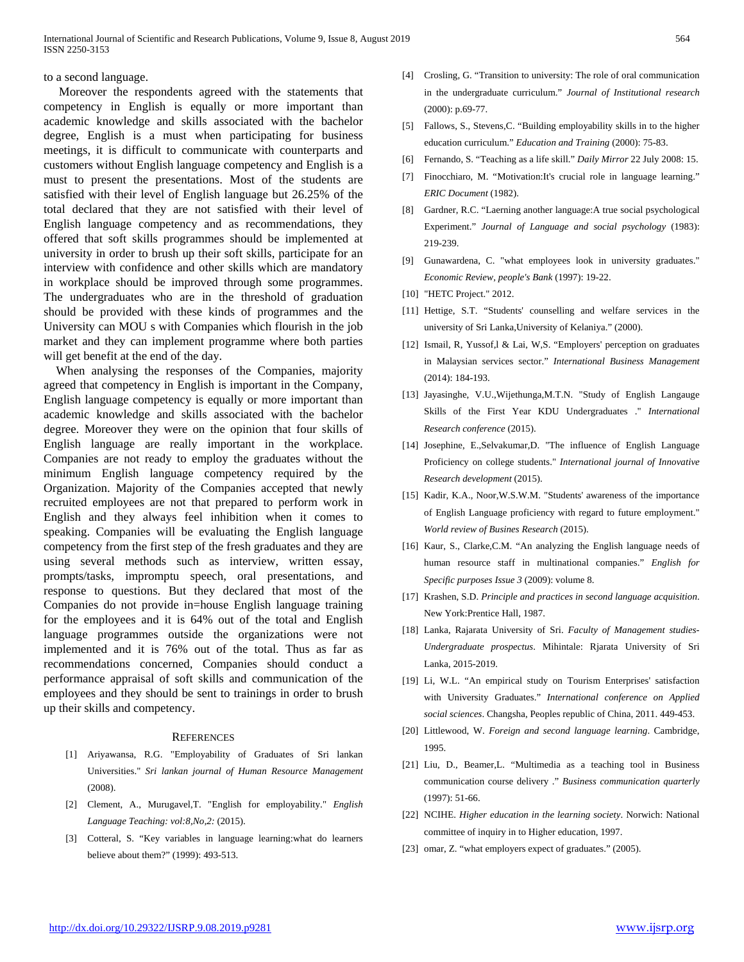#### to a second language.

 Moreover the respondents agreed with the statements that competency in English is equally or more important than academic knowledge and skills associated with the bachelor degree, English is a must when participating for business meetings, it is difficult to communicate with counterparts and customers without English language competency and English is a must to present the presentations. Most of the students are satisfied with their level of English language but 26.25% of the total declared that they are not satisfied with their level of English language competency and as recommendations, they offered that soft skills programmes should be implemented at university in order to brush up their soft skills, participate for an interview with confidence and other skills which are mandatory in workplace should be improved through some programmes. The undergraduates who are in the threshold of graduation should be provided with these kinds of programmes and the University can MOU s with Companies which flourish in the job market and they can implement programme where both parties will get benefit at the end of the day.

When analysing the responses of the Companies, majority agreed that competency in English is important in the Company, English language competency is equally or more important than academic knowledge and skills associated with the bachelor degree. Moreover they were on the opinion that four skills of English language are really important in the workplace. Companies are not ready to employ the graduates without the minimum English language competency required by the Organization. Majority of the Companies accepted that newly recruited employees are not that prepared to perform work in English and they always feel inhibition when it comes to speaking. Companies will be evaluating the English language competency from the first step of the fresh graduates and they are using several methods such as interview, written essay, prompts/tasks, impromptu speech, oral presentations, and response to questions. But they declared that most of the Companies do not provide in=house English language training for the employees and it is 64% out of the total and English language programmes outside the organizations were not implemented and it is 76% out of the total. Thus as far as recommendations concerned, Companies should conduct a performance appraisal of soft skills and communication of the employees and they should be sent to trainings in order to brush up their skills and competency.

#### **REFERENCES**

- [1] Ariyawansa, R.G. "Employability of Graduates of Sri lankan Universities." *Sri lankan journal of Human Resource Management* (2008).
- [2] Clement, A., Murugavel,T. "English for employability." *English Language Teaching: vol:8,No,2:* (2015).
- [3] Cotteral, S. "Key variables in language learning:what do learners believe about them?" (1999): 493-513.
- [4] Crosling, G. "Transition to university: The role of oral communication in the undergraduate curriculum." *Journal of Institutional research* (2000): p.69-77.
- [5] Fallows, S., Stevens,C. "Building employability skills in to the higher education curriculum." *Education and Training* (2000): 75-83.
- [6] Fernando, S. "Teaching as a life skill." *Daily Mirror* 22 July 2008: 15.
- [7] Finocchiaro, M. "Motivation:It's crucial role in language learning." *ERIC Document* (1982).
- [8] Gardner, R.C. "Laerning another language:A true social psychological Experiment." *Journal of Language and social psychology* (1983): 219-239.
- [9] Gunawardena, C. "what employees look in university graduates." *Economic Review, people's Bank* (1997): 19-22.
- [10] "HETC Project." 2012.
- [11] Hettige, S.T. "Students' counselling and welfare services in the university of Sri Lanka,University of Kelaniya." (2000).
- [12] Ismail, R, Yussof,l & Lai, W,S. "Employers' perception on graduates in Malaysian services sector." *International Business Management* (2014): 184-193.
- [13] Jayasinghe, V.U.,Wijethunga,M.T.N. "Study of English Langauge Skills of the First Year KDU Undergraduates ." *International Research conference* (2015).
- [14] Josephine, E.,Selvakumar,D. "The influence of English Language Proficiency on college students." *International journal of Innovative Research development* (2015).
- [15] Kadir, K.A., Noor,W.S.W.M. "Students' awareness of the importance of English Language proficiency with regard to future employment." *World review of Busines Research* (2015).
- [16] Kaur, S., Clarke,C.M. "An analyzing the English language needs of human resource staff in multinational companies." *English for Specific purposes Issue 3* (2009): volume 8.
- [17] Krashen, S.D. *Principle and practices in second language acquisition*. New York:Prentice Hall, 1987.
- [18] Lanka, Rajarata University of Sri. *Faculty of Management studies-Undergraduate prospectus*. Mihintale: Rjarata University of Sri Lanka, 2015-2019.
- [19] Li, W.L. "An empirical study on Tourism Enterprises' satisfaction with University Graduates." *International conference on Applied social sciences*. Changsha, Peoples republic of China, 2011. 449-453.
- [20] Littlewood, W. *Foreign and second language learning*. Cambridge, 1995.
- [21] Liu, D., Beamer,L. "Multimedia as a teaching tool in Business communication course delivery ." *Business communication quarterly* (1997): 51-66.
- [22] NCIHE. *Higher education in the learning society*. Norwich: National committee of inquiry in to Higher education, 1997.
- [23] omar, Z. "what employers expect of graduates." (2005).